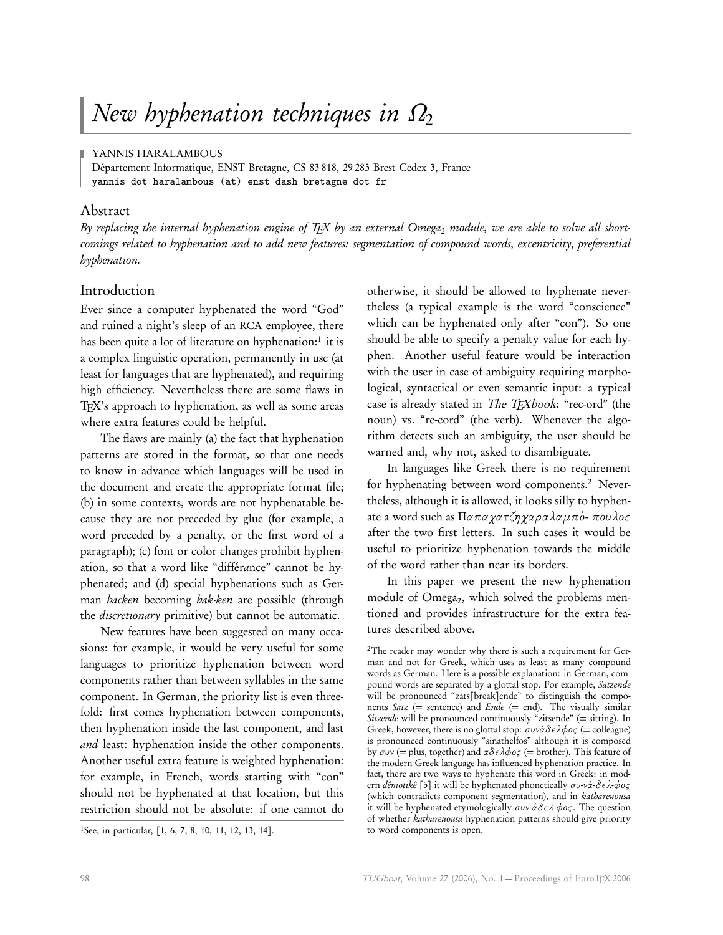YANNIS HARALAMBOUS

Département Informatique, ENST Bretagne, CS 83 818, 29 283 Brest Cedex 3, France yannis dot haralambous (at) enst dash bretagne dot fr

## Abstract

By replacing the internal hyphenation engine of TEX by an external Omega<sub>2</sub> module, we are able to solve all shortcomings related to hyphenation and to add new features: segmentation of compound words, excentricity, preferential hyphenation.

## Introduction

Ever since a computer hyphenated the word "God" and ruined a night's sleep of an RCA employee, there has been quite a lot of literature on hyphenation:<sup>1</sup> it is a complex linguistic operation, permanently in use (at least for languages that are hyphenated), and requiring high efficiency. Nevertheless there are some flaws in T<sub>E</sub>X's approach to hyphenation, as well as some areas where extra features could be helpful.

The flaws are mainly (a) the fact that hyphenation patterns are stored in the format, so that one needs to know in advance which languages will be used in the document and create the appropriate format file; (b) in some contexts, words are not hyphenatable because they are not preceded by glue (for example, a word preceded by a penalty, or the first word of a paragraph); (c) font or color changes prohibit hyphenation, so that a word like "différance" cannot be hyphenated; and (d) special hyphenations such as German backen becoming bak-ken are possible (through the *discretionary* primitive) but cannot be automatic.

New features have been suggested on many occasions: for example, it would be very useful for some languages to prioritize hyphenation between word components rather than between syllables in the same component. In German, the priority list is even threefold: first comes hyphenation between components, then hyphenation inside the last component, and last and least: hyphenation inside the other components. Another useful extra feature is weighted hyphenation: for example, in French, words starting with "con" should not be hyphenated at that location, but this restriction should not be absolute: if one cannot do

otherwise, it should be allowed to hyphenate nevertheless (a typical example is the word "conscience" which can be hyphenated only after "con"). So one should be able to specify a penalty value for each hyphen. Another useful feature would be interaction with the user in case of ambiguity requiring morphological, syntactical or even semantic input: a typical case is already stated in *The T<sub>E</sub>Xbook*: "rec-ord" (the noun) vs. "re-cord" (the verb). Whenever the algorithm detects such an ambiguity, the user should be warned and, why not, asked to disambiguate.

In languages like Greek there is no requirement for hyphenating between word components.<sup>2</sup> Nevertheless, although it is allowed, it looks silly to hyphenate a word such as Π*απαχατζηχαραλαµπ*o´- *π*o*υλ*o*ς* after the two first letters. In such cases it would be useful to prioritize hyphenation towards the middle of the word rather than near its borders.

In this paper we present the new hyphenation module of Omega2, which solved the problems mentioned and provides infrastructure for the extra features described above.

<sup>1</sup>See, in particular, [1, 6, 7, 8, 10, 11, 12, 13, 14].

<sup>&</sup>lt;sup>2</sup>The reader may wonder why there is such a requirement for German and not for Greek, which uses as least as many compound words as German. Here is a possible explanation: in German, compound words are separated by a glottal stop. For example, Satzende will be pronounced "zats[break]ende" to distinguish the components Satz (= sentence) and  $Ende$  (= end). The visually similar Sitzende will be pronounced continuously "zitsende" ( $=$  sitting). In Greek, however, there is no glottal stop:  $\sigma$ υνάδελφος (= colleague) is pronounced continuously "sinathelfos" although it is composed by *συν* (= plus, together) and *αδελφ*o*ς* (= brother). This feature of the modern Greek language has influenced hyphenation practice. In fact, there are two ways to hyphenate this word in Greek: in modern dêmotikê [5] it will be hyphenated phonetically *συ*-*να*´-*δελ*-*φ*o*ς* (which contradicts component segmentation), and in kathareuousa it will be hyphenated etymologically *συν-άδελ-φος*. The question of whether kathareuousa hyphenation patterns should give priority to word components is open.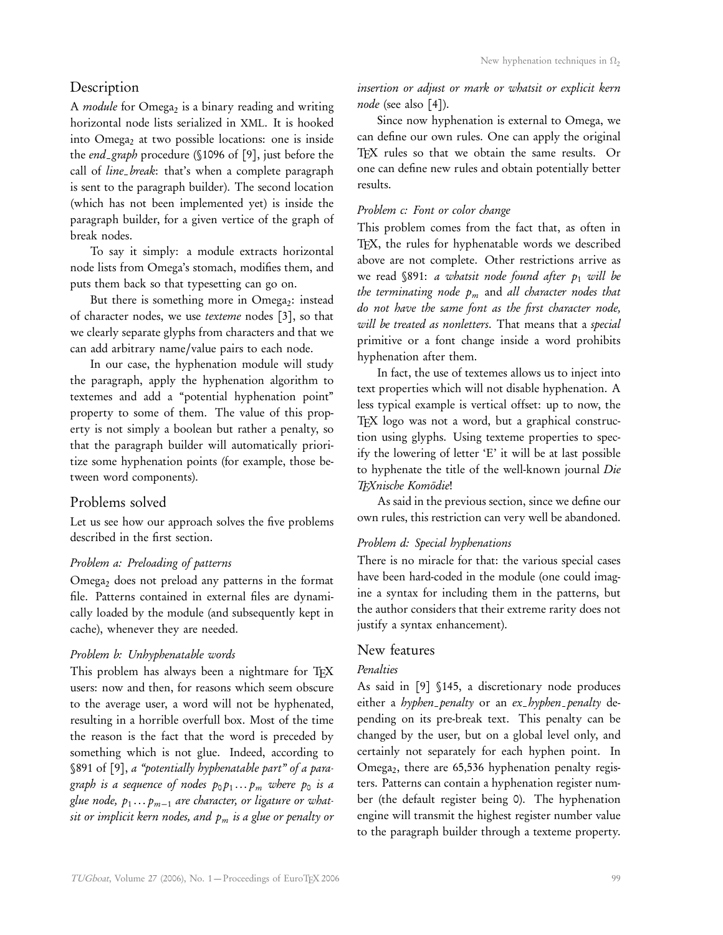## Description

A *module* for Omega<sub>2</sub> is a binary reading and writing horizontal node lists serialized in XML. It is hooked into Omega<sub>2</sub> at two possible locations: one is inside the end\_graph procedure (§1096 of [9], just before the call of line\_break: that's when a complete paragraph is sent to the paragraph builder). The second location (which has not been implemented yet) is inside the paragraph builder, for a given vertice of the graph of break nodes.

To say it simply: a module extracts horizontal node lists from Omega's stomach, modifies them, and puts them back so that typesetting can go on.

But there is something more in  $Omega_2$ : instead of character nodes, we use texteme nodes [3], so that we clearly separate glyphs from characters and that we can add arbitrary name/value pairs to each node.

In our case, the hyphenation module will study the paragraph, apply the hyphenation algorithm to textemes and add a "potential hyphenation point" property to some of them. The value of this property is not simply a boolean but rather a penalty, so that the paragraph builder will automatically prioritize some hyphenation points (for example, those between word components).

## Problems solved

Let us see how our approach solves the five problems described in the first section.

## Problem a: Preloading of patterns

Omega<sub>2</sub> does not preload any patterns in the format file. Patterns contained in external files are dynamically loaded by the module (and subsequently kept in cache), whenever they are needed.

## Problem b: Unhyphenatable words

This problem has always been a nightmare for TFX users: now and then, for reasons which seem obscure to the average user, a word will not be hyphenated, resulting in a horrible overfull box. Most of the time the reason is the fact that the word is preceded by something which is not glue. Indeed, according to §891 of [9], a "potentially hyphenatable part" of a paragraph is a sequence of nodes  $p_{\mathrm{0}} p_{1} \ldots p_{m}$  where  $p_{\mathrm{0}}$  is a glue node,  $p_1\ldots p_{m-1}$  are character, or ligature or whatsit or implicit kern nodes, and  $p_m$  is a glue or penalty or insertion or adjust or mark or whatsit or explicit kern node (see also [4]).

Since now hyphenation is external to Omega, we can define our own rules. One can apply the original TFX rules so that we obtain the same results. Or one can define new rules and obtain potentially better results.

## Problem c: Font or color change

This problem comes from the fact that, as often in TEX, the rules for hyphenatable words we described above are not complete. Other restrictions arrive as we read §891: a whatsit node found after  $p_1$  will be the terminating node  $p_m$  and all character nodes that do not have the same font as the first character node, will be treated as nonletters. That means that a special primitive or a font change inside a word prohibits hyphenation after them.

In fact, the use of textemes allows us to inject into text properties which will not disable hyphenation. A less typical example is vertical offset: up to now, the TEX logo was not a word, but a graphical construction using glyphs. Using texteme properties to specify the lowering of letter 'E' it will be at last possible to hyphenate the title of the well-known journal Die TEXnische Komödie!

As said in the previous section, since we define our own rules, this restriction can very well be abandoned.

#### Problem d: Special hyphenations

There is no miracle for that: the various special cases have been hard-coded in the module (one could imagine a syntax for including them in the patterns, but the author considers that their extreme rarity does not justify a syntax enhancement).

## New features

## Penalties

As said in [9] §145, a discretionary node produces either a hyphen\_penalty or an  $ex$ -hyphen-penalty depending on its pre-break text. This penalty can be changed by the user, but on a global level only, and certainly not separately for each hyphen point. In Omega<sub>2</sub>, there are 65,536 hyphenation penalty registers. Patterns can contain a hyphenation register number (the default register being 0). The hyphenation engine will transmit the highest register number value to the paragraph builder through a texteme property.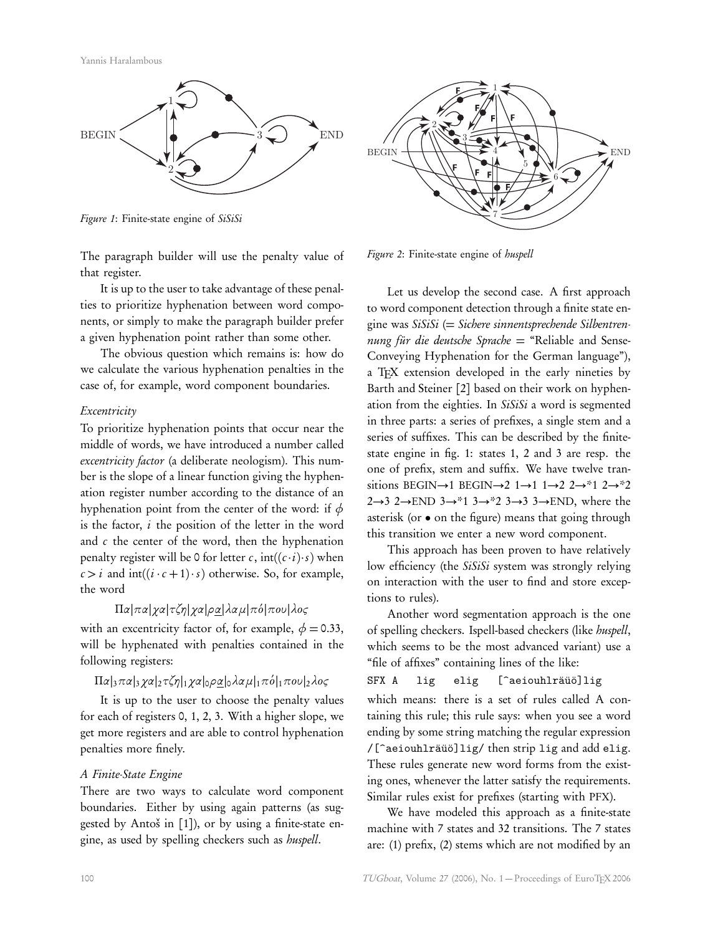

Figure 1: Finite-state engine of SiSiSi

The paragraph builder will use the penalty value of that register.

It is up to the user to take advantage of these penalties to prioritize hyphenation between word components, or simply to make the paragraph builder prefer a given hyphenation point rather than some other.

The obvious question which remains is: how do we calculate the various hyphenation penalties in the case of, for example, word component boundaries.

### Excentricity

To prioritize hyphenation points that occur near the middle of words, we have introduced a number called excentricity factor (a deliberate neologism). This number is the slope of a linear function giving the hyphenation register number according to the distance of an hyphenation point from the center of the word: if *φ* is the factor,  $i$  the position of the letter in the word and  $c$  the center of the word, then the hyphenation penalty register will be 0 for letter c,  $int((c \cdot i) \cdot s)$  when  $c > i$  and  $int((i \cdot c + 1) \cdot s)$  otherwise. So, for example, the word

## Π*α*|*πα*|*χα*|*τζη*|*χα*|*ρα*|*λαµ*|*π*o´|*π*o*υ*|*λ*o*ς*

with an excentricity factor of, for example,  $\phi = 0.33$ , will be hyphenated with penalties contained in the following registers:

## Π*α*|3*πα*|3*χα*|2*τζη*|1*χα*|0*ρα*|0*λαµ*|1*π*o´|1*π*o*υ*|2*λ*o*ς*

It is up to the user to choose the penalty values for each of registers 0, 1, 2, 3. With a higher slope, we get more registers and are able to control hyphenation penalties more finely.

## A Finite-State Engine

There are two ways to calculate word component boundaries. Either by using again patterns (as suggested by Antoš in [1]), or by using a finite-state engine, as used by spelling checkers such as huspell.



Figure 2: Finite-state engine of huspell

Let us develop the second case. A first approach to word component detection through a finite state engine was  $SiSiSi$  (= Sichere sinnentsprechende Silbentrennung für die deutsche Sprache  $=$  "Reliable and Sense-Conveying Hyphenation for the German language"), a T<sub>E</sub>X extension developed in the early nineties by Barth and Steiner [2] based on their work on hyphenation from the eighties. In SiSiSi a word is segmented in three parts: a series of prefixes, a single stem and a series of suffixes. This can be described by the finitestate engine in fig. 1: states 1, 2 and 3 are resp. the one of prefix, stem and suffix. We have twelve transitions BEGIN→1 BEGIN→2 1→1 1→2 2→\*1 2→\*2 2→3 2→END 3→\*1 3→\*2 3→3 3→END, where the asterisk (or • on the figure) means that going through this transition we enter a new word component.

This approach has been proven to have relatively low efficiency (the SiSiSi system was strongly relying on interaction with the user to find and store exceptions to rules).

Another word segmentation approach is the one of spelling checkers. Ispell-based checkers (like huspell, which seems to be the most advanced variant) use a "file of affixes" containing lines of the like:

SFX A lig elig [^aeiouhlräüö]lig

which means: there is a set of rules called A containing this rule; this rule says: when you see a word ending by some string matching the regular expression /[^aeiouhlräüö]lig/ then strip lig and add elig. These rules generate new word forms from the existing ones, whenever the latter satisfy the requirements. Similar rules exist for prefixes (starting with PFX).

We have modeled this approach as a finite-state machine with 7 states and 32 transitions. The 7 states are: (1) prefix, (2) stems which are not modified by an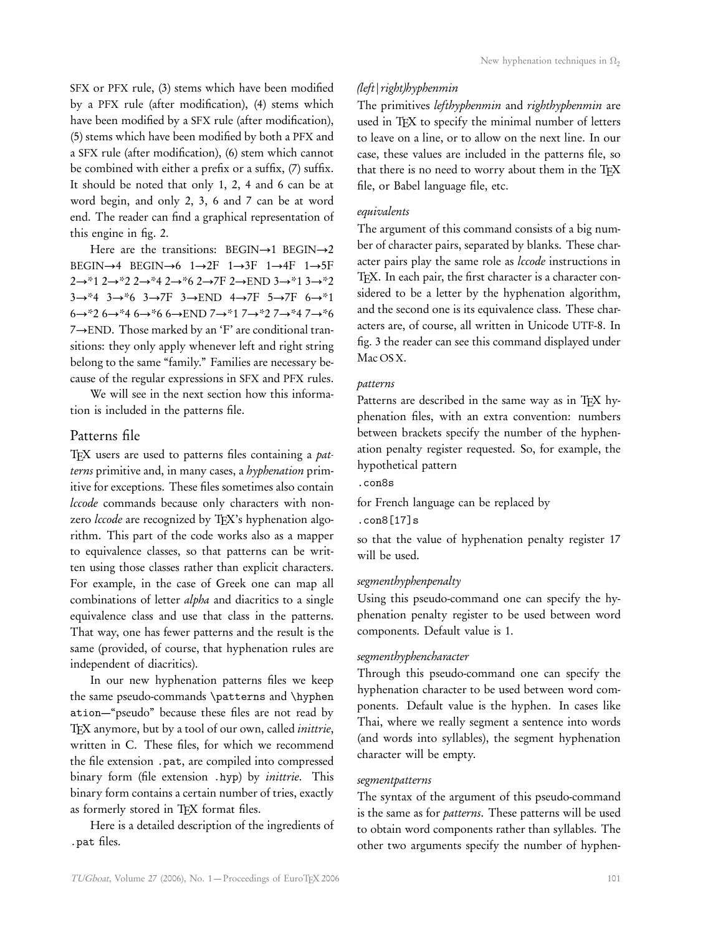SFX or PFX rule, (3) stems which have been modified by a PFX rule (after modification), (4) stems which have been modified by a SFX rule (after modification), (5) stems which have been modified by both a PFX and a SFX rule (after modification), (6) stem which cannot be combined with either a prefix or a suffix, (7) suffix. It should be noted that only 1, 2, 4 and 6 can be at word begin, and only 2, 3, 6 and 7 can be at word end. The reader can find a graphical representation of this engine in fig. 2.

Here are the transitions: BEGIN $\rightarrow$ 1 BEGIN $\rightarrow$ 2 BEGIN→4 BEGIN→6  $1\rightarrow 2F$   $1\rightarrow 3F$   $1\rightarrow 4F$   $1\rightarrow 5F$ 2→\*1 2→\*2 2→\*4 2→\*6 2→7F 2→END 3→\*1 3→\*2 3→\*4 3→\*6 3→7F 3→END 4→7F 5→7F 6→\*1 6→\*2 6→\*4 6→\*6 6→END 7→\*1 7→\*2 7→\*4 7→\*6 7→END. Those marked by an 'F' are conditional transitions: they only apply whenever left and right string belong to the same "family." Families are necessary because of the regular expressions in SFX and PFX rules.

We will see in the next section how this information is included in the patterns file.

## Patterns file

T<sub>EX</sub> users are used to patterns files containing a patterns primitive and, in many cases, a hyphenation primitive for exceptions. These files sometimes also contain lccode commands because only characters with nonzero *lccode* are recognized by TEX's hyphenation algorithm. This part of the code works also as a mapper to equivalence classes, so that patterns can be written using those classes rather than explicit characters. For example, in the case of Greek one can map all combinations of letter *alpha* and diacritics to a single equivalence class and use that class in the patterns. That way, one has fewer patterns and the result is the same (provided, of course, that hyphenation rules are independent of diacritics).

In our new hyphenation patterns files we keep the same pseudo-commands \patterns and \hyphen ation—"pseudo" because these files are not read by TFX anymore, but by a tool of our own, called inittrie, written in C. These files, for which we recommend the file extension .pat, are compiled into compressed binary form (file extension .hyp) by *inittrie*. This binary form contains a certain number of tries, exactly as formerly stored in TFX format files.

Here is a detailed description of the ingredients of .pat files.

## (left|right)hyphenmin

The primitives lefthyphenmin and righthyphenmin are used in TEX to specify the minimal number of letters to leave on a line, or to allow on the next line. In our case, these values are included in the patterns file, so that there is no need to worry about them in the TFX file, or Babel language file, etc.

## equivalents

The argument of this command consists of a big number of character pairs, separated by blanks. These character pairs play the same role as lccode instructions in TEX. In each pair, the first character is a character considered to be a letter by the hyphenation algorithm, and the second one is its equivalence class. These characters are, of course, all written in Unicode UTF-8. In fig. 3 the reader can see this command displayed under Mac OS X.

### patterns

Patterns are described in the same way as in TEX hyphenation files, with an extra convention: numbers between brackets specify the number of the hyphenation penalty register requested. So, for example, the hypothetical pattern

# .con8s

for French language can be replaced by

#### .con8[17]s

so that the value of hyphenation penalty register 17 will be used.

## segmenthyphenpenalty

Using this pseudo-command one can specify the hyphenation penalty register to be used between word components. Default value is 1.

#### segmenthyphencharacter

Through this pseudo-command one can specify the hyphenation character to be used between word components. Default value is the hyphen. In cases like Thai, where we really segment a sentence into words (and words into syllables), the segment hyphenation character will be empty.

#### segmentpatterns

The syntax of the argument of this pseudo-command is the same as for patterns. These patterns will be used to obtain word components rather than syllables. The other two arguments specify the number of hyphen-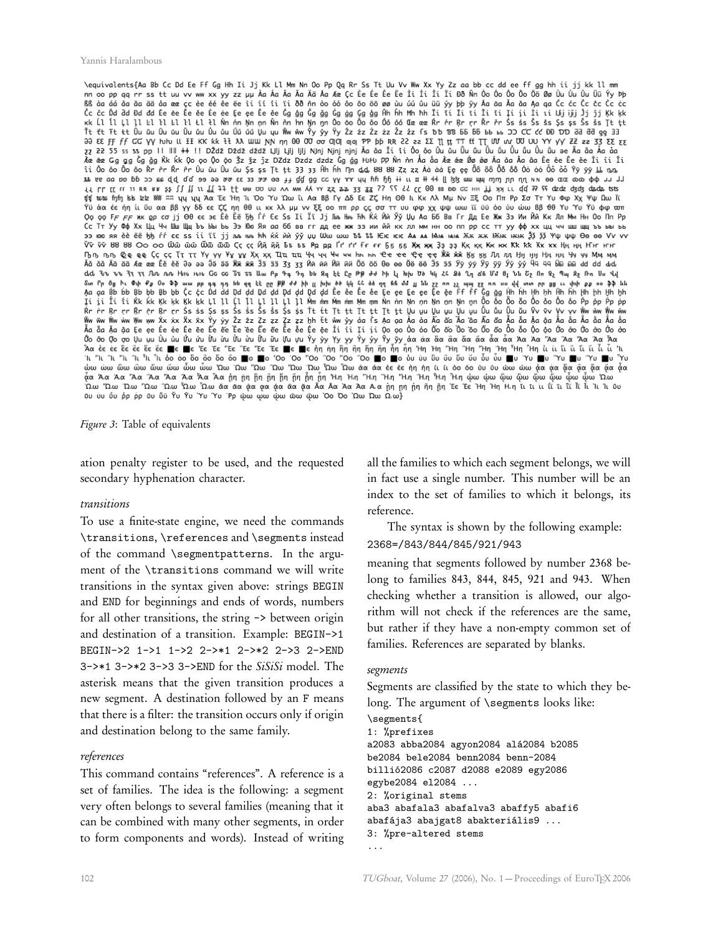\equivalents{Aa Bb Cc Dd Ee Ff Gg Hh Ii Jj Kk Ll Mm Nn Oo Pp Qq Rr Ss Tt Uu Vv Ww Xx Yy Zz aa bb cc dd ee ff gg hh ii jj kk ll mm on các các da da da de ce cé éé ée e liíí li li 88 m ào 66 ào 60 80 80 du dú du du yyph yy Aa da Aa da Aa qa Cc Cc Cc Cc Cc Cc Cc Tt ft ft tt Uu ûu Uu ûu Uu ûu Uu ûu Uû ûû Uu yu Www. Yy yy Yy Zz 2z 2z 2z 2z 2z 2z 2z 5 b 10 BB 65 66 bb bb 50 CC c'c θ0 DD dd dd gg 33<br>32 22 55 55 55 50 PH bu UL H F. KK Kk tt λλ WW. NY ny 00 00 00 00 00 00 00 00 00 00 0 γύ άα έε ή η ίι ΰυααββγγίδε είς η η θθιικκλλμμν ξέροπτρος σσττυυ φφχχιμψωω ϊύδο ύσω υρώω 8βθθ ΥυΎν, "γυών του<br>Όσο αρείς η κυριστορία του δεν έχεις η θθιικκλλμμν ξέροπτρος σσττυυ φφχχιμψωω ϊύδο ύσω υρώ 88 θθΥυΎν Υϋφφισστ<br>Ο осттуу Фф Хх Цц Чч Шш Щц Ъъыы ть Ээ Юо Яя ааббввггддее жж ээ иийй кклл мм ннооппроссттуу фф хх цц чч шш щц ъъын<br>Ээ юю яя ѐѐёё ђђѓѓее ssii ïï jj ль ннь ћћќќѝѝ ўў џџ Ѡѡ ѡѡ ѢҍѣҍѤѥ ѥѥ АѧѧѧѨѩѩѩѪѫѫѫѬѭѭѫӿҘѯ ѯѯ Ѱѱѱѱ Өө ѳѳ Ѵѵѵѵ νν νν 88 88 ΟΟ ΟΟ Ѿῶ ῶῶ Ѿῶ ῶῶ Ҁς ςς Йй йй Бѣ́ѣ́Рҏ дҏ Ґґ ґҒғғғ Ҕҕ ҕҕ Жҗ җҗ Ҙҙ ҙҙ Ққ ққ Ҝҝ ҝк Ҟҟ Ҟк ҡк Ӊӊ ӊӊ Ҥҥ ҥҥ ҦҧҧҧѺѻҩѻѺҪҫҪҬҭҭҭҮүүүҰұұұҲҳҳҲҴҵҵҵҶҷҷҷҸҹҹһҧҧҼҽҽҽҾҿҿҿӁӿӂӂӃӄӄӄӅӆӆӆӇӈӈӉӊӊӌӌӌӎӎӎӎ<br>ӐӑӑӑӐӓӓӓѦҩҩҩӖӗӗӗӘәәәӬӭӛӭӜӝӝӿ҆ӞӟӟӟӡӡӡӢӣӣӣӤӥӥӢӦӧӧѲѳҩӫӪӫӬӭӭӭӮӯӯӯӮӱӱӱӲӱӱҊӌӵӹӹӹӓd dd dd dd 3v 3v 31 31 Jun nun Hue Hue Go Go To To Um Ap 4 4 1 4 bb sq էէ Cr Ap dd hh ll bhu Ud kh 20 sh 1 ds Un 8 jun 8 m 9 m 9 m 9 m Um Vul Sun Profession of the Protection of the PP of the United States of the Contract of the PP of the United States of the United States of the PP of the United States of the United States of the United States of the United Sta Ốo ōo Ợo ợo Ųu ụu Ủu ủu Ứu ứu ửu ửu ửu Ữu ữu Ựu ựu Ŷy ỳy Yy yy Ŷy ŷy ŷy Ăα ἀα ἂα ἄα ἄα ἄα ἄα ἄα Άα Ἄα Ἄα Ἄα Άα ωω ώω ὢω ὢω ὤω ὦω ὦω ຟω ທε ΥΩω ΎΩω ΎΩω ΎΩω ΎΩω ϔΩω «α ἀα ἐε ἐε ὴη ἡη ὶιί λο όο ὺυ ῦυ ὡω ὡω φα φα φα φα φα φα φα 

Figure 3: Table of equivalents

ation penalty register to be used, and the requested secondary hyphenation character.

#### transitions

To use a finite-state engine, we need the commands \transitions, \references and \segments instead of the command \segmentpatterns. In the argument of the \transitions command we will write transitions in the syntax given above: strings BEGIN and END for beginnings and ends of words, numbers for all other transitions, the string -> between origin and destination of a transition. Example: BEGIN->1 BEGIN->2 1->1 1->2 2->\*1 2->\*2 2->3 2->END  $3$ ->\*1 3->\*2 3->3 3->END for the  $SiSiSi$  model. The asterisk means that the given transition produces a new segment. A destination followed by an F means that there is a filter: the transition occurs only if origin and destination belong to the same family.

#### references

This command contains "references". A reference is a set of families. The idea is the following: a segment very often belongs to several families (meaning that it can be combined with many other segments, in order to form components and words). Instead of writing

all the families to which each segment belongs, we will in fact use a single number. This number will be an index to the set of families to which it belongs, its reference.

The syntax is shown by the following example: 2368=/843/844/845/921/943

meaning that segments followed by number 2368 belong to families 843, 844, 845, 921 and 943. When checking whether a transition is allowed, our algorithm will not check if the references are the same, but rather if they have a non-empty common set of families. References are separated by blanks.

#### segments

Segments are classified by the state to which they belong. The argument of \segments looks like:

```
\segments{
1: %prefixes
a2083 abba2084 agyon2084 alá2084 b2085
be2084 bele2084 benn2084 benn-2084
billió2086 c2087 d2088 e2089 egy2086
egybe2084 el2084 ...
2: %original stems
aba3 abafala3 abafalva3 abaffy5 abafi6
abafája3 abajgat8 abakteriális9 ...
3: %pre-altered stems
...
```